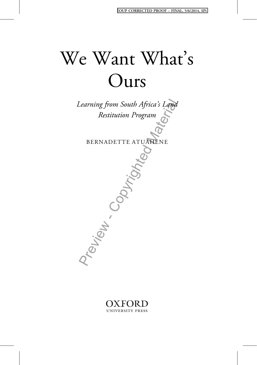# We Want What' s Ours



BERNADETTE ATUAHENE



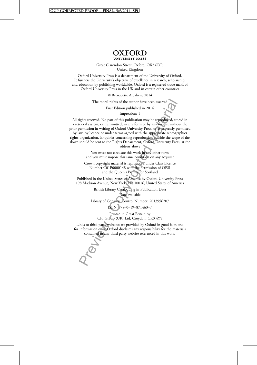**OXFORD** 

Great Clarendon Street, Oxford, OX2 6DP, United Kingdom

Oxford University Press is a department of the University of Oxford. It furthers the University's objective of excellence in research, scholarship, and education by publishing worldwide. Oxford is a registered trade mark of Oxford University Press in the UK and in certain other countries

© Bernadette Atuahene 2014

The moral rights of the author have been asserted

First Edition published in 2014 Impression: 1

All rights reserved. No part of this publication may be reproduced, stored in a retrieval system, or transmitted, in any form or by any means, without the prior permission in writing of Oxford University Press, or as expressly permitted

The moral rights of the author have been asserted<br>First Edition published in 2014<br>Impression: 1<br>Impression: 1<br>The previous correct this publication may be reproduced, stor<br>inversion in writing of Oxford University Press, o by law, by licence or under terms agreed with the appropriate reprographics rights organization. Enquiries concerning reproduction outside the scope of the above should be sent to the Rights Department, Oxford University Press, at the

address above

You must not circulate this work in any other form and you must impose this same condition on any acquirer

Crown copyright material is reproduced under Class Licence Number C01P0000148 with the permission of OPSI and the Queen's Printer for Scotland

Published in the United States of America by Oxford University Press 198 Madison Avenue, New York, NY 10016, United States of America

> British Library Cataloguing in Publication Data Data available

Library of Congress Control Number: 2013956207

ISBN 978–0–19–871463–7

Printed in Great Britain by CPI Group (UK) Ltd, Croydon, CR0 4YY

Links to third party websites are provided by Oxford in good faith and for information only. Oxford disclaims any responsibility for the materials contained in any third party website referenced in this work.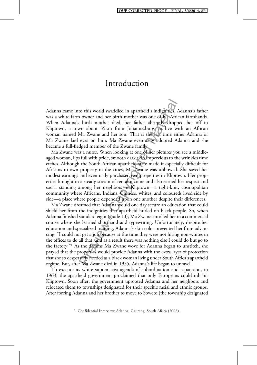Adanna came into this world swaddled in apartheid's indignities. Adanna's father was a white farm owner and her birth mother was one of his African farmhands. When Adanna's birth mother died, her father abruptly dropped her off in Kliptown, a town about 35km from Johannesburg, to live with an African woman named Ma Zwane and her son. That is the last time either Adanna or Ma Zwane laid eyes on him. Ma Zwane eventually adopted Adanna and she became a full-fledged member of the Zwane family.

Ma Zwane was a nurse. When looking at one of her pictures you see a middleaged woman, lips full with pride, smooth dark skin impervious to the wrinkles time etches. Although the South African apartheid state made it especially difficult for Africans to own property in the cities, Ma Zwane was unbowed. She saved her modest earnings and eventually purchased two properties in Kliptown. Her properties brought in a steady stream of rental income and also earned her respect and social standing among her neighbors in Kliptown—a tight-knit, cosmopolitan community where Africans, Indians, Chinese, whites, and coloureds lived side by side—a place where people depended upon one another despite their differences.

to this world swaddled in apartheid's indigities. A<br>n owner and her birth mother was one of his Afric<br>is birth mother died, her father abruptly dropp<br>wn about 35km from Johannesburg, to live wi<br>ha Zwane and her son. That i Ma Zwane dreamed that Adanna would one day secure an education that could shield her from the indignities that apartheid hurled on black people. So, when Adanna finished standard eight (grade 10), Ma Zwane enrolled her in a commercial course where she learned shorthand and typewriting. Unfortunately, despite her education and specialized training, Adanna's skin color prevented her from advancing. "I could not get a job because at the time they were not hiring non-whites in the offices to do all that, and as a result there was nothing else I could do but go to the factory."<sup>1</sup> As the dreams Ma Zwane wove for Adanna began to unstitch, she prayed that the properties would provide Adanna with the extra layer of protection that she so desperately needed as a black woman living under South Africa's apartheid regime. But, after Ma Zwane died in 1955, Adanna's life began to unravel.

To execute its white supremacist agenda of subordination and separation, in 1963, the apartheid government proclaimed that only Europeans could inhabit Kliptown. Soon after, the government uprooted Adanna and her neighbors and relocated them to townships designated for their specific racial and ethnic groups. After forcing Adanna and her brother to move to Soweto (the township designated

<sup>1</sup> Confidential Interview: Adanna, Gauteng, South Africa (2008).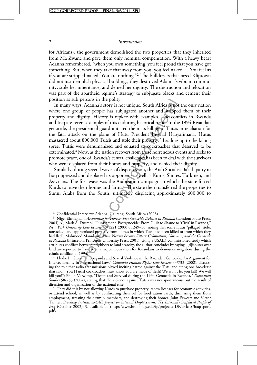for Africans), the government demolished the two properties that they inherited from Ma Zwane and gave them only nominal compensation. With a heavy heart Adanna remembered, "when you own something, you feel proud that you have got something. But, when they take that away from you, you feel naked . . . You feel as if you are stripped naked. You are nothing."<sup>2</sup> The bulldozers that razed Kliptown did not just demolish physical buildings, they destroyed Adanna's vibrant community, stole her inheritance, and denied her dignity. The destruction and relocation was part of the apartheid regime's strategy to subjugate blacks and cement their position as sub persons in the polity.

persons in the pointy.<br>
se, Adanna's story is not unique. South Africa is not<br>
up of people has subjugated another and strippee<br>
lignity. History is replete with examples. The confert<br>
exidential guard initiated the mass k In many ways, Adanna's story is not unique. South Africa is not the only nation where one group of people has subjugated another and stripped them of their property and dignity. History is replete with examples. The conflicts in Rwanda and Iraq are recent examples of this enduring historical trend. In the 1994 Rwandan genocide, the presidential guard initiated the mass killing of Tutsis in retaliation for the fatal attack on the plane of Hutu President Juvenal Habyarimana. Hutus massacred about 800,000 Tutsis and stole their property.3 Leading up to the killing spree, Tutsis were dehumanized and equated to cockroaches that deserved to be exterminated.4 Now, as the nation recovers from these horrendous events and seeks to promote peace, one of Rwanda's central challenges has been to deal with the survivors who were displaced from their homes and property, and denied their dignity.

Similarly, during several waves of dispossession, the Arab Socialist Ba'ath party in Iraq oppressed and displaced its opponents as well as Kurds, Shiites, Turkmen, and Assyrians. The first wave was the Arabization campaign in which the state forced Kurds to leave their homes and farms.<sup>5</sup> The state then transferred the properties to Sunni Arabs from the South, ultimately displacing approximately 600,000 to

<sup>2</sup> Confidential Interview: Adanna, Gauteng, South Africa (2008).<br><sup>3</sup> Nigel Eltringham, *Accounting for Horror: Post-Genocide Debates in Rwanda* (London: Pluto Press, 2004), xl; Mark A. Drumbl, "Punishment, Postgenocide: From Guilt to Shame to 'Civis' in Rwanda," New York University Law Review 75/1221 (2000), 1249-50, noting that some Hutu "pillaged, stole, ransacked, and appropriated property from homes in which Tutsi had been killed or from which they<br>had fled"; Mahmood Mamdani, *When Victims Become Killers: Colonialism, Nativism, and the Genocide* in Rwanda (Princeton: Princeton University Press, 2001), citing a USAID-commissioned study which attributes conflicts between neighbors to land scarcity, the author concludes by saying "[d]isputes over land are reported to have been a major motivation for Rwandans to denounce neighbors during the ethnic conflicts of 1994. ethnic conflicts of 1994." <sup>4</sup> Llezlie L. Green, "Propaganda and Sexual Violence in the Rwandan Genocide: An Argument for

Intersectionality in International Law," Columbia Human Rights Law Review 33/733 (2002), discussing the role that radio transmissions played inciting hatred against the Tutsi and citing one broadcast that said, "You [Tutsi] cockroaches must know you are made of flesh! We won't let you kill! We will kill you!"; Philip Verwimp, "Death and Survival during the 1994 Genocide in Rwanda," Population Studies 58/233 (2004), stating that the violence against Tutsis was not spontaneous but the result of direction and organization of the national elite.

<sup>5</sup> They did this by not allowing Kurds to purchase property, renew licenses for economic activities, or attend school, as well as by confiscating their oil for food ration cards, dismissing them from employment, arresting their family members, and destroying their homes. John Fawcett and Victor Tanner, Brooking Institution-SAIS project on Internal Displacement: The Internally Displaced People of Iraq (October 2002), 9, available at <http://www.brookings.edu/fp/projects/IDP/articles/iraqreport. pdf>.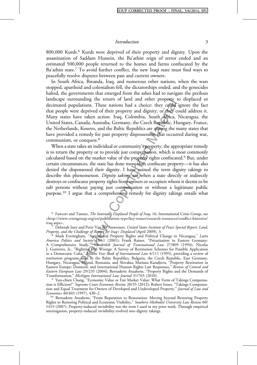800,000 Kurds.<sup>6</sup> Kurds were deprived of their property and dignity. Upon the assassination of Saddam Hussein, the Ba'athist reign of terror ended and an estimated 500,000 people returned to the homes and farms confiscated by the Ba'athist state.<sup>7</sup> To avoid further conflict, the new Iraqi state must find ways to peacefully resolve disputes between past and current owners.

In South Africa, Rwanda, Iraq, and numerous other nations, when the wars stopped, apartheid and colonialism fell, the dictatorships ended, and the genocides halted, the governments that emerged from the ashes had to navigate the perilous landscape surrounding the return of land and other property to displaced or decimated populations. These nations had a choice: they could ignore the fact that people were deprived of their property and dignity, or they could address it. Many states have taken action. Iraq, Colombia, South Africa, Nicaragua, the United States, Canada, Australia, Germany, the Czech Republic, Hungary, France, the Netherlands, Kosovo, and the Baltic Republics are among the many states that have provided a remedy for past property dispossession that occurred during war, communism, or conquest.<sup>8</sup>

inding the return or iand and other property to<br>lations. These nations had a choice: they could in<br>equived of their property and dignity, or they coe<br>tect they could in the Sales tect in the Sales of their property and dig When a state takes an individual or community's property, the appropriate remedy is to return the property or to provide just compensation, which is most commonly calculated based on the market value of the property rights confiscated.9 But, under certain circumstances, the state has done more than confiscate property—it has also denied the dispossessed their dignity. I have coined the term dignity takings to describe this phenomenon. Dignity takings are when a state directly or indirectly destroys or confiscates property rights from owners or occupiers whom it deems to be sub persons without paying just compensation or without a legitimate public purpose.10 I argue that a comprehensive remedy for dignity takings entails what

<sup>6</sup> Fawcett and Tanner, *The Internally Displaced People of Iraq*, 16; International Crisis Group, see <http://www.crisisgroup.org/en/publication-type/key-issues/research-resources/conflict-histories/

<sup>7</sup> Deborah Isser and Peter Van der Auweraert, United States Institute of Peace Special Report: Land, Property, and the Challenge of Return for Iraq's Displaced (April 2009), 3.

<sup>8</sup> Mark Everingham, "Agricultural Property Rights and Political Change in Nicaragua," Latin A*merica Politics and Society 43*/61 (2001); Frank Rainer, "Privatization in Eastern Germany: A Comprehensive Study," *Vanderbilt Journal of Transnational Law 27*/809 (1994); Nicolas J. Gutierrez, Jr., "Righting Old Wrongs: A Survey of Restitution Schemes for Possible Application to a Democratic Cuba," Miami Year Book of International Law 4/111 (1995), providing a review of restitution programs used in the Baltic Republics, Bulgaria, the Czech Republic, East Germany, Hungary, Nicaragua, Poland, Romania, and Slovakia; Mariana Karadjova, "Property Restitution in Eastern Europe: Domestic and International Human Rights Law Responses," Review of Central ana Eastern European Law 29/235 (2004); Bernadette Atuahene, "Property Rights and the Demands of Transformation," Michigan International Law Journal 31/765 (2010).

<sup>9</sup> Yun-chien Chang, "Economic Value or Fair Market Value: What Form of Takings Compensation is Efficient?" Supreme Court Economic Review 20/35 (2012); Robert Innes, "Takings Compensation and Equal Treatment for Owners of Developed and Undeveloped Property," *Journal of Law and* Economics 40/403 (1997), 430–2.<br><sup>10</sup> Bernadette Atuahene, "From Reparation to Restoration: Moving beyond Restoring Property

Rights to Restoring Political and Economic Visibility," Southern Methodist University Law Review 60/ 1419 (2007). Property-induced invisibility was the term I used in my prior work. Through empirical interrogation, property-induced invisibility evolved into dignity takings.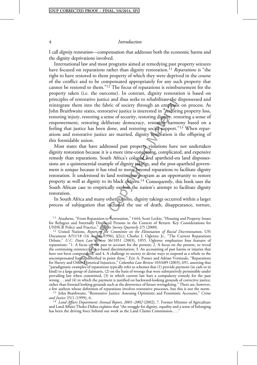I call *dignity restoration*—compensation that addresses both the economic harms and the dignity deprivations involved.

International law and most programs aimed at remedying past property seizures have focused on reparations rather than dignity restoration.<sup>11</sup> Reparations is "the right to have restored to them property of which they were deprived in the course of the conflict and to be compensated appropriately for any such property that cannot be restored to them."<sup>12</sup> The focus of reparations is reimbursement for the property taken (i.e. the outcome). In contrast, dignity restoration is based on principles of restorative justice and thus seeks to rehabilitate the dispossessed and reintegrate them into the fabric of society through an emphasis on process. As John Braithwaite states, restorative justice is interested in "restoring property loss, restoring injury, restoring a sense of security, restoring dignity, restoring a sense of empowerment, restoring deliberate democracy, restoring harmony based on a feeling that justice has been done, and restoring social support."<sup>13</sup> When reparations and restorative justice are married, dignity restoration is the offspring of this formidable union.

storative justice and thus seeks to renabilitate the comminion the fabric of society through an emphasis<br>the states, restorative justice is interested in <sup>a</sup>reasfority, restoring deliberate democracy, restoring dignity, re Most states that have addressed past property violations have not undertaken dignity restoration because it is a more time-consuming, complicated, and expensive remedy than reparations. South Africa's colonial and apartheid-era land dispossessions are a quintessential example of dignity takings, and the post-apartheid government is unique because it has tried to move beyond reparations to facilitate dignity restoration. It understood its land restitution program as an opportunity to restore property as well as dignity to its black citizens.14 Consequently, this book uses the South African case to empirically explore the nation's attempt to facilitate dignity restoration.

In South Africa and many other nations, dignity takings occurred within a larger process of subjugation that included the use of death, disappearance, torture,

UNHCR Policy and Practice," *Refugee Survey Quarterly 2*/5 (2000).<br><sup>12</sup> United Nations, *Report of the Committee on the Elimination of Racial Discrimination*, UN Document A/51/18 (16 August 1996), }2(c); Charles J. Ogletree Jr., "The Current Reparations Debate," U.C. Davis Law Review 36/1051 (2003), 1055. Ogletree emphasizes four features of reparations: "1. A focus on the past to account for the present; 2. A focus on the present, to reveal the continuing existence of race-based discrimination; 3. An accounting of past harms or injuries that have not been compensated; and 4. A challenge to society to devise ways to respond as a whole to the uncompensated harms identified in point three." Eric A. Posner and Adrian Vermeule, "Reparations for Slavery and Other Historical Injustices," Columbia Law Review 103/689 (2003), 691, asserting that "paradigmatic examples of reparations typically refer to schemes that (1) provide payment (in cash or in kind) to a large group of claimants, (2) on the basis of wrongs that were substantively permissible under prevailing law when committed, (3) in which current law bars a compulsory remedy for the past wrong . . . and (4) in which the payment is justified on backward-looking grounds of corrective justice, rather than forward looking grounds such as the deterrence of future wrongdoing." There are, however, a few authors whose definition of reparations involves restorative processes, but this is not the norm.

<sup>13</sup> John Braithwaite, "Restorative Justice: Assessing Optimistic and Pessimistic Accounts," Crime and Justice 25/1 (1999), 6.

 $14$  Land Affairs Department: Annual Report, 2001–2002 (2002), 7. Former Minister of Agriculture and Land Affairs Thoko Didiza explains that "the struggle for dignity, equality and a sense of belonging has been the driving force behind our work as the Land Claims Commission. . . ."

<sup>&</sup>lt;sup>11</sup> Atuahene, "From Reparation to Restoration," 1444; Scott Leckie, "Housing and Property Issues for Refugees and Internally Displaced Persons in the Context of Return: Key Considerations for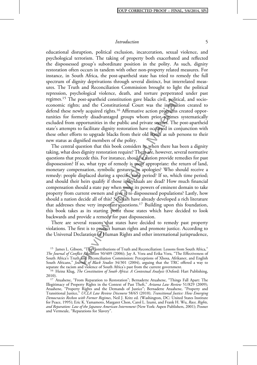educational disruption, political exclusion, incarceration, sexual violence, and psychological terrorism. The taking of property both exacerbated and reflected the dispossessed group's subordinate position in the polity. As such, dignity restoration often occurs in tandem with other non-property related measures. For instance, in South Africa, the post-apartheid state has tried to remedy the full spectrum of dignity deprivations through several distinct, but interrelated measures. The Truth and Reconciliation Commission brought to light the political repression, psychological violence, death, and torture perpetrated under past regimes.<sup>15</sup> The post-apartheid constitution gave blacks civil, political, and socioeconomic rights; and the Constitutional Court was the institution created to defend these newly acquired rights.<sup>16</sup> Affirmative action programs created opportunities for formerly disadvantaged groups whom prior regimes systematically excluded from opportunities in the public and private sectors. The post-apartheid state's attempts to facilitate dignity restoration have occurred in conjunction with these other efforts to upgrade blacks from their old status as sub persons to their new status as dignified members of the polity.

post-apartment constitution gave biackeds civil, pontitional<br>
; and the Constitutional Court was the institution<br>
sign acquired rights.<sup>16</sup> Affirmative action programs<br>
nerly disadvantaged groups whom prior regimes<br>
pportu The central question that this book considers is: when there has been a dignity taking, what does dignity restoration require? There are, however, several normative questions that precede this. For instance, should a nation provide remedies for past dispossession? If so, what type of remedy is most appropriate: the return of land, monetary compensation, symbolic gestures, or apologies? Who should receive a remedy: people displaced during a specific time period? If so, which time period; and should their heirs qualify if those individuals are dead? How much financial compensation should a state pay when using its powers of eminent domain to take property from current owners and give it to dispossessed populations? Lastly, how should a nation decide all of this? Scholars have already developed a rich literature that addresses these very important questions.17 Building upon this foundation, this book takes as its starting point those states which have decided to look backwards and provide a remedy for past dispossession.

There are several reasons that states have decided to remedy past property violations. The first is to protect human rights and promote justice. According to the Universal Declaration of Human Rights and other international jurisprudence,

<sup>&</sup>lt;sup>15</sup> James L. Gibson, "The Contributions of Truth and Reconciliation: Lessons from South Africa," The Journal of Conflict Resolution 50/409 (2006); Jay A. Vora and Erika Vora, "The Effectiveness of South Africa's Truth and Reconciliation Commission: Perceptions of Xhosa, Afrikaner, and English South Africans," Journal of Black Studies 34/301 (2004), arguing that the TRC offered a way to separate the racism and violence of South Africa's past from the current government.

 $s<sup>16</sup>$  Heinz Klug, *The Constitution of South Africa: A Contextual Analysis* (Oxford: Hart Publishing, 2010).

<sup>&</sup>lt;sup>17</sup> Atuahene, "From Reparation to Restoration"; Bernadette Atuahene, "Things Fall Apart: The Illegitimacy of Property Rights in the Context of Past Theft," Arizona Law Review 51/829 (2009); Atuahene, "Property Rights and the Demands of Justice"; Bernadette Atuahene, "Property and Transitional Justice," UCLA Law Review Discourse 58/65 (2010); Transitional Justice: How Emerging Democracies Reckon with Former Regimes, Neil J. Kritz ed. (Washington, DC: United States Institute for Peace, 1995); Eric K. Yamamoto, Margaret Chon, Carol L. Izumi, and Frank H. Wu, Race, Rights, and Reparation: Law of the Japanese American Internment (New York: Aspen Publishers, 2001); Posner and Vermeule, "Reparations for Slavery".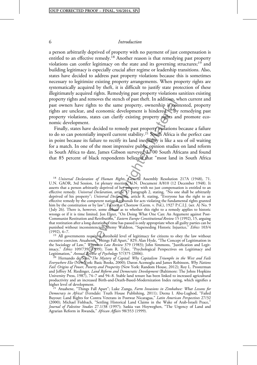a person arbitrarily deprived of property with no payment of just compensation is entitled to an effective remedy.18 Another reason is that remedying past property violations can confer legitimacy on the state and its governing structures;<sup>19</sup> and building legitimacy is especially crucial after regime or leadership transitions. Also, states have decided to address past property violations because this is sometimes necessary to legitimize existing property arrangements. When property rights are systematically acquired by theft, it is difficult to justify state protection of these illegitimately acquired rights. Remedying past property violations sanitizes existing property rights and removes the stench of past theft. In addition, when current and past owners have rights to the same property, ownership is contested, property rights are unclear, and economic development is hindered.<sup>20</sup> By remedying past property violations, states can clarify existing property rights and promote economic development.

Finally, states have decided to remedy past property violations because a failure to do so can potentially imperil current stability.<sup>21</sup> South Africa is the perfect case in point because its failure to rectify its land inequality is like a sea of oil waiting for a match. In one of the most impressive public opinion studies on land reform in South Africa to date, James Gibson surveyed 3,700 South Africans and found that 85 percent of black respondents believed that "most land in South Africa

and removes the stench or past thert. In addition, we rights to the same property, ownership is coonsidered and the same property in the same to same the same property in the set is falled to remedy past property rights an <sup>18</sup> Universal Declaration of Human Rights, General Assembly Resolution 217A (1948), 71. U.N. GAOR, 3rd Session, 1st plenary meeting, U.N. Document A/810 (12 December 1948). It asserts that a person arbitrarily deprived of her property with no just compensation is entitled to an effective remedy. Universal Declaration, article 17 paragraph 2, stating, "No one shall be arbitrarily deprived of his property"; Universal Declaration, article 8, stating, "Everyone has the right to an effective remedy by the competent national tribunals for acts violating the fundamental rights granted him by the constitution or by law"; Factory at Chorzow (Germ. v. Pol.), 1927 P.C.I.J. (ser. A) No. 9 ( July 26). There is, however, some debate as to whether this right to a remedy applies to historic wrongs or if it is time limited. Jon Elster, "On Doing What One Can: An Argument against Post-Communist Restitution and Retribution," Eastern Europe Constitutional Review 15 (1992), 15, arguing that restitution after a long duration of time has passed is only appropriate when all guilty parties can be punished without inconsistencies; Jeremy Waldron, "Superseding Historic Injustice," Ethics 103/4 (1992), 6-7.

 $(19)$  All governments require a threshold level of legitimacy for citizens to obey the law without excessive coercion. Atuahene, "Things Fall Apart," 829; Alan Hyde, "The Concept of Legitimation in<br>the Sociology of Law," *Wisconsin Law Review* 379 (1983); John Simmons, "Justification and Legitimacy," Ethics 109/739 (1999); Tom R. Tyler, "Psychological Perspectives on Legitimacy and Legitimation," Annual Review of Psychology 57/375 (2006).

 $\frac{\delta^{20}}{20}$  Hernando de Soto, The Mystery of Capital: Why Capitalism Triumphs in the West and Fails Everywhere Else (New York: Basic Books, 2000); Daron Acemoglu and James Robinson, Why Nations Fail: Origins of Power, Poverty and Prosperity (New York: Random House, 2012); Roy L. Prosterman and Jeffrey M. Riedinger, *Land Reform and Democratic Development* (Baltimore: The Johns Hopkins University Press, 1987), 74–7 and 94–8. Stable land tenure has been linked to increased agricultural productivity and an increased Birth-and-Death-Based-Modernization Index rating, which signifies a

<sup>21</sup> Atuahene, "Things Fall Apart"; Luke Zunga, Farm Invasions in Zimbabwe: What Lessons for Democracy in Africa? (Ferndale: Truth House Publishing, 2011); Deena I. Abu-Lughod, "Failed Buyout: Land Rights for Contra Veterans in Postwar Nicaragua," Latin American Perspectives 27/32 (2000); Michael Fishbach, "Settling Historical Land Claims in the Wake of Arab-Israeli Peace," Journal of Palestine Studies 27.1/38 (1997); Saskia van Hoyweghen, "The Urgency of Land and Agrarian Reform in Rwanda," African Affairs 98/353 (1999).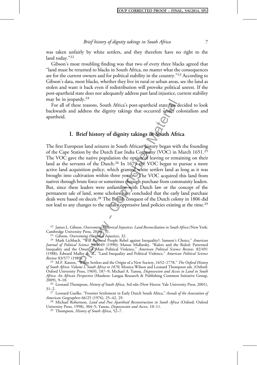was taken unfairly by white settlers, and they therefore have no right to the land today."<sup>22</sup>

Gibson's most troubling finding was that two of every three blacks agreed that "land must be returned to blacks in South Africa, no matter what the consequences are for the current owners and for political stability in the country."<sup>23</sup> According to Gibson's data, most blacks, whether they live in rural or urban areas, see the land as stolen and want it back even if redistribution will provoke political unrest. If the post-apartheid state does not adequately address past land injustice, current stability may be in jeopardy.<sup>24</sup>

For all of these reasons, South Africa's post-apartheid state has decided to look backwards and address the dignity takings that occurred under colonialism and apartheid.

## I. Brief history of dignity takings in South Africa

ray.<sup>--</sup><br>
e reasons, South Africa's post-apartheid state has decrease the dignity takings that occurred under correct<br>
didress the dignity takings in South African correct and the company (VOC) in P<br>
an land seizures in So The first European land seizures in South African history began with the founding of the Cape Station by the Dutch East India Company (VOC) in March 1651.25 The VOC gave the native population the option of leaving or remaining on their land as the servants of the Dutch.<sup>26</sup> In 1679 the VOC began to pursue a more active land acquisition policy, which granted white settlers land as long as it was brought into cultivation within three years.27 The VOC acquired this land from natives through brute force or sometimes through purchase from community leaders. But, since these leaders were unfamiliar with Dutch law or the concept of the permanent sale of land, some scholars have concluded that the early land purchase deals were based on deceit.<sup>28</sup> The British conquest of the Dutch colony in 1806 did not lead to any changes to the racially oppressive land policies existing at the time.29

<sup>22</sup> James L. Gibson, *Overcoming Historical Injustices: Land Reconciliation in South Africa* (New York: Cambridge University Press, 2010), 31.

<sup>23</sup> Gibson, *Overcoming Historical Injustices*, 32.<br><sup>24</sup> Mark Lichbach, "Will Rational People Rebel against Inequality?: Samson's Choice," *American* Journal of Political Science 34/1049 (1990); Manus Midlarsky, "Rulers and the Ruled: Patterned Inequality and the Onset of Mass Political Violence," American Political Science Review. 82/491 (1988); Édward Muller et. al., "Land Inequality and Political Violence," American Political Science<br>Review 83/577 (1989)

<sup>25</sup> M.F. Katzen, "White Settlers and the Origin of a New Society, 1652–1778," The Oxford History of South Africa: Volume I, South Africa to 1870, Monica Wilson and Leonard Thompson eds. (Oxford: Oxford University Press, 1969), 187–9; Michael A. Yanou, Dispossession and Access to Land in South Africa: An African Perspective (Mankon: Langaa Research & Publishing Common Initiative Group, 2009), 9-10.

<sup>26</sup> Leonard Thompson, *History of South Africa*, 3rd edn (New Haven: Yale University Press, 2001), 31–2.

<sup>27</sup> Leonard Guelke, "Frontier Settlement in Early Dutch South Africa," Annals of the Association of American Geographers  $66/25$  (1976), 25–42, 29.

<sup>28</sup> Michael Robertson, Land and Post Apartheid Reconstruction in South Africa (Oxford: Oxford University Press, 1998), 304–5; Yanou, *Dispossession and Access*, 10–11.<br><sup>29</sup> Thompson, *History of South Africa*, 52–7.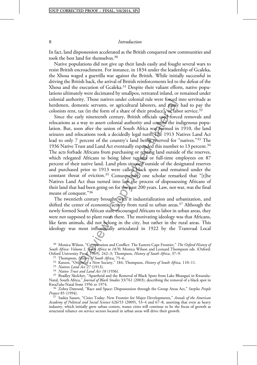In fact, land dispossession accelerated as the British conquered new communities and took the best land for themselves.30

Native populations did not give up their lands easily and fought several wars to resist British encroachment. For instance, in 1834 under the leadership of Gcaleka, the Xhosa waged a guerrilla war against the British. While initially successful in driving the British back, the arrival of British reinforcements led to the defeat of the Xhosa and the execution of Gcaleka.<sup>31</sup> Despite their valiant efforts, native populations ultimately were decimated by smallpox, retreated inland, or remained under colonial authority. Those natives under colonial rule were forced into servitude as herdsmen, domestic servants, or agricultural laborers, and many had to pay the colonists rent, tax (in the form of a share of their produce), or labor service.<sup>32</sup>

rty. I nose natives under colonial rule were rorced in<br>extic servants, or agricultural laborers, and many<br>tax (in the form of a share of their produce), or lab<br>rly nineteenth century, British officials used force<br>way to as Since the early nineteenth century, British officials used forced removals and relocations as a way to assert colonial authority and control the indigenous population. But, soon after the union of South Africa was formed in 1910, the land seizures and relocations took a decidedly legal turn. The 1913 Natives Land Act lead to only 7 percent of the country's land being reserved for "natives."<sup>33</sup> The 1936 Native Trust and Land Act eventually expanded this number to 13 percent.<sup>34</sup> The acts forbade Africans from purchasing or renting land outside of the reserves, which relegated Africans to being labor tenants or full-time employees on 87 percent of their native land. Land plots situated outside of the designated reserves and purchased prior to 1913 were called black spots and remained under the constant threat of eviction.<sup>35</sup> Consequently, one scholar remarked that "[t]he Natives Land Act thus turned into law the process of dispossessing Africans of their land that had been going on for the past 200 years. Law, not war, was the final means of conquest."<sup>36</sup>

The twentieth century brought with it industrialization and urbanization, and shifted the center of economic activity from rural to urban areas.<sup>37</sup> Although the newly formed South African state encouraged Africans to labor in urban areas, they were not supposed to plant roots there. The motivating ideology was that Africans, like farm animals, did not belong in the city, but rather in the rural areas. This ideology was most influentially articulated in 1922 by the Transvaal Local

<sup>31</sup> Thompson, *History of South Africa*, 75–6.<br><sup>32</sup> Katzen, "Origin of a New Society," 184; Thompson, *History of South Africa*, 110–11.<br><sup>33</sup> Natives Land Act 27 (1913).<br><sup>34</sup> Native Trust and Land Act 18 (1936).<br><sup>35</sup> Brad

Natal, South Africa," Journal of Black Studies 33/761 (2003), describing the removal of a black spot in<br>KwaZulu-Natal from 1956 to 1974.

<sup>36</sup> Zohra Dawood, "Race and Space: Dispossession through the Group Areas Act," Surplus People<br>Project 85 (1994).

<sup>37</sup> Saskia Sassen, "Cities Today: New Frontier for Major Developments," Annals of the American Academy of Political and Social Science 626/53 (2009), 53-4 and 67-8, asserting that even as heavy industry, which initially grew urban centers, wanes cities will continue to be the focus of growth as structural reliance on service sectors located in urban areas will drive their growth.

<sup>&</sup>lt;sup>30</sup> Monica Wilson, "Co-operation and Conflict: The Eastern Cape Frontier," The Oxford History of South Africa: Volume I, South Africa to 1870, Monica Wilson and Leonard Thompson eds. (Oxford: Oxford: Oxford: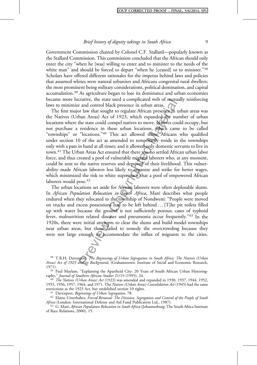Government Commission chaired by Colonel C.F. Stallard—popularly known as the Stallard Commission. This commission concluded that the African should only enter the city "when he [was] willing to enter and to minister to the needs of the white man" and should be forced to depart "when he [ceased] so to minister."<sup>38</sup> Scholars have offered different rationales for the impetus behind laws and policies that assumed whites were natural urbanites and Africans congenital rural dwellers; the most prominent being military considerations, political domination, and capital accumulation.39 As agriculture began to lose its dominance and urban economies became more lucrative, the state used a complicated web of mutually reinforcing laws to minimize and control black presence in urban areas.

crative, the state used a complicated web of multia<br>
and control black presence in urban areas.<br>
The and control black presence in the state could compel natives to move. Natives could<br>
ban Areas) Act of 1923, which expand The first major law that sought to regulate African presence in urban areas was the Natives (Urban Areas) Act of 1923, which expanded the number of urban locations where the state could compel natives to move. Natives could occupy, but not purchase a residence in these urban locations, which came to be called "townships" or "locations."<sup>40</sup> This act allowed those Africans who qualified under section 10 of the act as amended to temporarily reside in the townships only with a pass in hand at all times; and it allowed only domestic servants to live in town.41 The Urban Areas Act ensured that there was no settled African urban labor force, and thus created a pool of vulnerable migrant laborers who, at any moment, could be sent to the native reserves and deprived of their livelihood. This vulnerability made African laborers less likely to organize and strike for better wages, which minimized the risk to white supremacy that a pool of empowered African laborers would pose.<sup>42</sup>

The urban locations set aside for African laborers were often deplorable slums. In African Population Relocation in South Africa, Maré describes what people endured when they relocated to the township of Nondweni: "People were moved on trucks and excess possessions had to be left behind . . . [T]he pit toilets filled up with water because the ground is not sufficiently porous; cases of typhoid fever, malnutrition related diseases and pneumonia occur frequently."<sup>43</sup> In the 1920s, there were initial attempts to clear the slums and build model townships near urban areas, but these failed to remedy the overcrowding because they were not large enough to accommodate the influx of migrants to the cities.

<sup>38</sup> T.R.H. Davenport, The Beginnings of Urban Segregation in South Africa: The Natives (Urban Areas) Act of 1923 and its Background, (Grahamstown: Institute of Social and Economic Research,

1971). <sup>39</sup> Paul Maylam, "Explaining the Apartheid City: 20 Years of South African Urban Historiog-<br>1995), 24.

 $r^{40}$  The Natives (Urban Areas) Act (1923) was amended and expanded in 1930, 1937, 1944, 1952, 1955, 1956, 1957, 1964, and 1971. The *Natives (Urban Areas) Consolidation Act* (1945) had the same restrictions as the 1923 Act, but established section 10 rights.

<sup>41</sup> Davenport, *Beginnings of Urban Segregation*, 78.<br><sup>42</sup> Elaine Unterhalter, *Forced Removal: The Division, Segregation and Control of the People of South*<br>*Africa* (London: International Defense and Aid Fund Publicati

<sup>43</sup> G. Maré, African Population Relocation in South Africa (Johannesburg: The South Africa Institute of Race Relations, 2000), 15.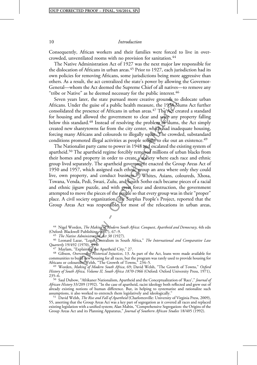Consequently, African workers and their families were forced to live in overcrowded, unventilated rooms with no provision for sanitation.<sup>44</sup>

The Native Administration Act of 1927 was the next major law responsible for the dislocation of Africans in urban areas.<sup>45</sup> Prior to 1927, each jurisdiction had its own policies for removing Africans, some jurisdictions being more aggressive than others. As a result, the act centralized the state's power by allowing the Governor-General—whom the Act deemed the Supreme Chief of all natives—to remove any "tribe or Native" as he deemed necessary for the public interest.<sup>46</sup>

Seven years later, the state pursued more creative grounds to dislocate urban Africans. Under the guise of a public health measure, the 1934 Slums Act further consolidated the presence of Africans in urban areas.<sup>47</sup> The Act created a standard for housing and allowed the government to clear and seize any property falling below this standard.<sup>48</sup> Instead of resolving the problem of slums, the Act simply created new shantytowns far from the city center, which had inadequate housing, forcing many Africans and coloureds to illegally squat. The crowded, substandard conditions promoted illegal activities as people sought to eke out an existence.<sup>49</sup>

ater, the state pursued more creative grounds to<br>refrequence of a public health measure, the 1926 SI<br>e presence of Africans in urban areas, <sup>47</sup> The Act cr<br>d allowed the government to clear and seize any<br>dard.<sup>48</sup> Instead The Nationalist party came to power in 1948 and escalated the existing system of apartheid.<sup>50</sup> The apartheid regime forcibly removed millions of urban blacks from their homes and property in order to create a society where each race and ethnic group lived separately. The apartheid government enacted the Group Areas Act of 1950 and 1957, which assigned each ethnic group an area where only they could live, own property, and conduct business.<sup>51</sup> Whites, Asians, coloureds, Xhosa, Tswana, Venda, Pedi, Swazi, Zulu, and South Sotho each became pieces of a racial and ethnic jigsaw puzzle, and with great force and destruction, the government attempted to move the pieces of the puzzle so that every group was in their "proper" place. A civil society organization, the Surplus People's Project, reported that the Group Areas Act was responsible for most of the relocations in urban areas,

<sup>44</sup> Nigel Worden, *The Making of Modern South Africa: Conquest, Apartheid and Democracy, 4th edn* 

(Oxford: Blackwell Publishing, 2007), 67–9.<br><sup>45</sup> *The Native Administration Act 38* (1927).<br><sup>46</sup> Leonard Lazar, "Legal Centralism in South Africa," *The International and Comparative Lau* Quarterly 19/492 (1970), 495.<br>
<sup>47</sup> Maylam, "Explaining the Apartheid City," 27.<br>
<sup>48</sup> Gibson, *Overcoming Historical Injustices*, 13. As part of the Act, loans were made available for

communities to build new housing for all races, but the program was rarely used to provide housing for

<sup>49</sup> Worden, Making of Modern South Africa, 69; David Welsh, "The Growth of Towns," Oxford History of South Africa, Volume II, South Africa 1870-1966 (Oxford: Oxford University Press, 1971),<br>235–6.

<sup>50</sup> Saul Dubow, "Afrikaner Nationalism, Apartheid and the Conceptualization of 'Race'," Journal of African History 33/209 (1992). "In the case of apartheid, racist ideology both reflected and grew out of already existing notions of human difference. But, in helping to systematize and rationalize such assumptions, it also worked to entrench them legislatively and ideologically."

<sup>51</sup> David Welsh, *The Rise and Fall of Apartheid* (Charlottesville: University of Virginia Press, 2009), 55, asserting that the Group Areas Act was a key part of segregation as it covered all races and replaced existing legislation with a unified system; Alan Mabin, "Comprehensive Segregation: the Origins of the Group Areas Act and its Planning Apparatus," Journal of Southern African Studies 18/405 (1992).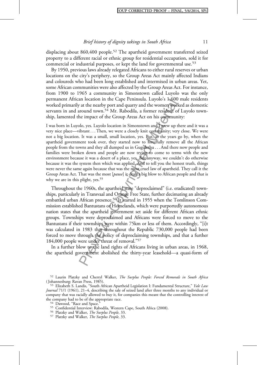displacing about 860,400 people.<sup>52</sup> The apartheid government transferred seized property to a different racial or ethnic group for residential occupation, sold it for commercial or industrial purposes, or kept the land for governmental use.<sup>53</sup>

By 1950, previous laws already relegated Africans to either rural reserves or urban locations on the city's periphery, so the Group Areas Act mainly affected Indians and coloureds who had been long established and intermixed in urban areas. Yet, some African communities were also affected by the Group Areas Act. For instance, from 1900 to 1965 a community in Simonstown called Luyolo was the only permanent African location in the Cape Peninsula. Luyolo's 1,600 male residents worked primarily at the nearby port and quarry and the women worked as domestic servants in and around town.<sup>54</sup> Mr. Rabodila, a former resident of Luyolo township, lamented the impact of the Group Areas Act on his community:

an location in the Cape Pennisula. Luyolo 8 15000<br>
7 at the nearby port and quary and the women work<br>
or around town.<sup>54</sup> Mr. Rabodila, a former resident of<br>
he impact of the Group Areas Act on his communi<br>
blo, yes. Luyo I was born in Luyolo, yes. Luyolo location in Simonstown and I grew up there and it was a very nice place—vibrant . . . Then, we were a closely knit community; very close. We were not a big location. It was a small, small location, yes. But, as the years go by, when the apartheid government took over, they started now to forcefully remove all the African people from the towns and they all dumped us in Gugulethu . . . And there now people and families were broken down and people are now trying to come to terms with the new environment because it was a desert of a place, yes. But anyway, we couldn't do otherwise because it was the system then which was applied. And to tell you the honest truth, things were never the same again because that was the most cruel law of apartheid. They call it the Group Areas Act. That was the most [pause] it dealt a big blow to African people and that is why we are in this plight, yes.<sup>55</sup>

Throughout the 1960s, the apartheid state "deproclaimed" (i.e. eradicated) townships, particularly in Transvaal and Orange Free State, further decimating an already embattled urban African presence.<sup>56</sup> It started in 1955 when the Tomlinson Commission established Bantustans or Homelands, which were purportedly autonomous nation states that the apartheid government set aside for different African ethnic groups. Townships were deproclaimed and Africans were forced to move to the Bantustans if their townships were within 75km or less of them. Accordingly, "[i]t was calculated in 1983 that throughout the Republic 730,000 people had been forced to move through the policy of deproclaiming townships, and that a further 184,000 people were under threat of removal."<sup>57</sup>

In a further blow to the land rights of Africans living in urban areas, in 1968, the apartheid government abolished the thirty-year leasehold—a quasi-form of

<sup>&</sup>lt;sup>52</sup> Laurin Platzky and Cherryl Walker, *The Surplus People: Forced Removals in South Africa* (Johannesburg: Ravan Press, 1985).

<sup>&</sup>lt;sup>53</sup> Elizabeth S. Landis, "South African Apartheid Legislation I: Fundamental Structure," Yale Law Journal 71/1 (1961), 21–4, describing the sale of seized land after three months to any individual or company that was racially allowed to buy it, for companies this meant that the controlling interest of

<sup>&</sup>lt;sup>54</sup> Dawood, "Race and Space."<br><sup>55</sup> Confidential Interview: Rabodila, Western Cape, South Africa (2008).<br><sup>56</sup> Platzky and Walker, *The Surplus People*, 33.<br><sup>57</sup> Platzky and Walker, *The Surplus People*, 33.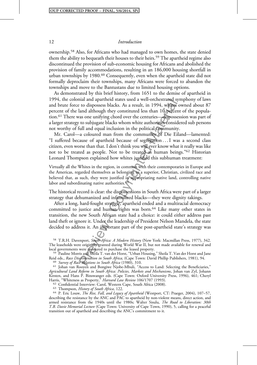ownership.<sup>58</sup> Also, for Africans who had managed to own homes, the state denied them the ability to bequeath their houses to their heirs.<sup>59</sup> The apartheid regime also discontinued the provision of sub-economic housing for Africans and abolished the provision of family accommodations, resulting in an 186,000 housing shortfall in urban townships by 1980.<sup>60</sup> Consequently, even when the apartheid state did not formally deproclaim their townships, many Africans were forced to abandon the townships and move to the Bantustans due to limited housing options.

nia and apartneld states used a well-orchitated sy<br>to disposess blacks. As a result, in 1994, whires conditioned and although they constituted less than 10 percent<br>as one unifying chord over the centuries—disposees<br>to sub As demonstrated by this brief history, from 1651 to the demise of apartheid in 1994, the colonial and apartheid states used a well-orchestrated symphony of laws and brute force to dispossess blacks. As a result, in 1994, whites owned about 87 percent of the land although they constituted less than 10 percent of the population.61 There was one unifying chord over the centuries—dispossession was part of a larger strategy to subjugate blacks whom white authorities considered sub persons not worthy of full and equal inclusion in the political community.

Mr. Carol—a coloured man from the community of Die Eiland—lamented: "I suffered because of apartheid because of segregation . . . I was a second class citizen, even worse than that. I don't think you will ever know what it really was like not to be treated as people. Not to be treated as human beings."<sup>62</sup> Historian Leonard Thompson explained how whites justified this subhuman treatment:

Virtually all the Whites in the region, in common with their contemporaries in Europe and the Americas, regarded themselves as belonging to a superior, Christian, civilized race and believed that, as such, they were justified in appropriating native land, controlling native labor and subordinating native authorities.<sup>63</sup>

The historical record is clear: the dispossessions in South Africa were part of a larger strategy that dehumanized and infantilized blacks—they were dignity takings.

After a long, hard-fought struggle, apartheid ended and a multiracial democracy committed to justice and human rights was born.<sup>64</sup> Like many other states in transition, the new South African state had a choice: it could either address past land theft or ignore it. Under the leadership of President Nelson Mandela, the state decided to address it. An important part of the post-apartheid state's strategy was

<sup>58</sup> T.R.H. Davenport, South Africa: A Modern History (New York: Macmillan Press, 1977), 342. The leaseholds were originally granted during World War II, but not made available for renewal and local governments were pressured to purchase the leased property.

local governments were pressured to purchase the leased property.<br><sup>59</sup> Pauline Morris and Sheila T. van der Horst, "Urban Housing," Sheila T. Van der Horst and Jane<br>Reid eds., *Race Discrimination in South Africa*, (Cape T Reid eds., *Race Discrimination in South Africa*, (Cape Town: David Phillip Publishers, 1981), 94.<br><sup>60</sup> Survey of Race Relations in South Africa (1980), 310.<br><sup>61</sup> Johan van Rooyen and Bongiwe Njobe-Mbuli, "Access to Land:

Agricultural Land Reform in South Africa: Policies, Markets and Mechanisms, Johan van Zyl, Johann Kirsten, and Hans P. Binswanger eds. (Cape Town: Oxford University Press, 1996), 461; Cheryl Harris, "Whiteness as Property," *Harvard Law Review* 106/1707 (1993).<br><sup>62</sup> Confidential Interview: Carol, Western Cape, South Africa (2008).<br><sup>63</sup> Thompson, *History of South Africa*, 122.<br><sup>64</sup> P. Eric Louw, *The Rise, Fal* 

describing the resistance by the ANC and PAC to apartheid by non-violent means, direct action, and armed resistance from the 1940s until the 1980s; Walter Sisulu, The Road to Liberation: 30th T.B. Davie Memorial Lecture (Cape Town: University of Cape Town, 1990), 5, calling for a peaceful transition out of apartheid and describing the ANC's commitment to it.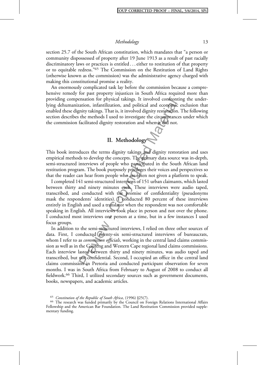section 25.7 of the South African constitution, which mandates that "a person or community dispossessed of property after 19 June 1913 as a result of past racially discriminatory laws or practices is entitled . . . either to restitution of that property or to equitable redress."<sup>65</sup> The Commission on the Restitution of Land Rights (otherwise known as the commission) was the administrative agency charged with making this constitutional promise a reality.

An enormously complicated task lay before the commission because a comprehensive remedy for past property injustices in South Africa required more than providing compensation for physical takings. It involved confronting the underlying dehumanization, infantilization, and political and economic exclusion that enabled these dignity takings. That is, it involved dignity restoration. The following section describes the methods I used to investigate the circumstances under which the commission facilitated dignity restoration and when it did not.

# II. Methodology

This book introduces the terms dignity takings and dignity restoration and uses empirical methods to develop the concepts. The primary data source was in-depth, semi-structured interviews of people who participated in the South African land restitution program. The book purposely privileges their voices and perspectives so that the reader can hear from people who are often not given a platform to speak.

ensation for physical takings. It involved confrontiation, infantilization, and political and economic<br>tation, infantilization, and political and economic<br>the methods I used to investigate the circumstance<br>facilitated dign I completed 141 semi-structured interviews of 151 urban claimants, which lasted between thirty and ninety minutes each. These interviews were audio taped, transcribed, and conducted with the promise of confidentiality (pseudonyms mask the respondents' identities). I conducted 80 percent of these interviews entirely in English and used a translator when the respondent was not comfortable speaking in English. All interviews took place in person and not over the phone. I conducted most interviews one person at a time, but in a few instances I used focus groups.

In addition to the semi-structured interviews, I relied on three other sources of data. First, I conducted twenty-six semi-structured interviews of bureaucrats, whom I refer to as *commission officials*, working in the central land claims commission as well as in the Gauteng and Western Cape regional land claims commissions. Each interview lasted between thirty and ninety minutes, was audio taped and transcribed, but not confidential. Second, I occupied an office in the central land claims commission in Pretoria and conducted participant observation for seven months. I was in South Africa from February to August of 2008 to conduct all fieldwork.<sup>66</sup> Third, I utilized secondary sources such as government documents, books, newspapers, and academic articles.

<sup>65</sup> Constitution of the Republic of South Africa, (1996)  $\S25(7)$ .<br><sup>66</sup> The research was funded primarily by the Council on Foreign Relations International Affairs Fellowship and the American Bar Foundation. The Land Restitution Commission provided supplementary funding.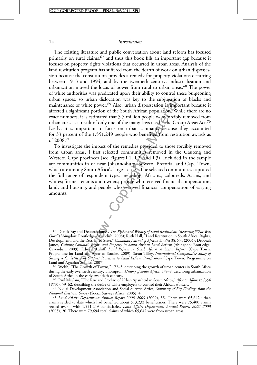The existing literature and public conversation about land reform has focused primarily on rural claims,  $67$  and thus this book fills an important gap because it focuses on property rights violations that occurred in urban areas. Analysis of the land restitution program has suffered from the dearth of work on urban dispossession because the constitution provides a remedy for property violations occurring between 1913 and 1994; and by the twentieth century, industrialization and urbanization moved the locus of power from rural to urban areas.<sup>68</sup> The power of white authorities was predicated upon their ability to control these burgeoning urban spaces, so urban dislocation was key to the subjugation of blacks and maintenance of white power.<sup>69</sup> Also, urban dispossession is important because it affected a significant portion of the South African population. While there are no exact numbers, it is estimated that 3.5 million people were forcibly removed from urban areas as a result of only one of the many laws used—the Group Areas Act.<sup>70</sup> Lastly, it is important to focus on urban claimants because they accounted for 33 percent of the 1,551,249 people who benefited from restitution awards as of 2008.71

so urban dislocation was key to the subjugation<br>from the power.<sup>69</sup> Also, urban disposession is implied<br>from portion of the South African population. While the case of<br>ficant portion of the South African population. While To investigate the impact of the remedies provided to those forcibly removed from urban areas, I first selected communities removed in the Gauteng and Western Cape provinces (see Figures I.1, I.2, and I.3). Included in the sample are communities in or near Johannesburg, Soweto, Pretoria, and Cape Town, which are among South Africa's largest cities. The selected communities captured the full range of respondent types including: Africans, coloureds, Asians, and whites; former tenants and owners; people who received financial compensation, land, and housing; and people who received financial compensation of varying amounts.

<sup>67</sup> Derick Fay and Deborah James, The Rights and Wrongs of Land Restitution: "Restoring What Was Ours" (Abingdon: Routledge-Cavendish, 2008); Ruth Hall, "Land Restitution in South Africa: Rights, Development, and the Restrained State," Canadian Journal of African Studies 38/654 (2004); Deborah James, Gaining Ground?: Rights and Property in South African Land Reform (Abingdon: Routledge-Cavendish, 2009); Edward Lahiff, Land Reform in South Africa: A Status Report, (Cape Town: Programme for Land and Agrarian Studies, 2009); Susan Tilley, International Comparative Study of Strategies for Settlement Support Provision to Land Reform Beneficiaries (Cape Town: Programme on<br>Land and Agrarian Studies, 2007).

<sup>68</sup> Welsh, "The Growth of Towns," 172–3, describing the growth of urban centers in South Africa during the early twentieth century; Thompson, *History of South Africa*, 178–9, describing urbanization of South Africa in the early twentieth century.

<sup>69</sup> Paul Maylam, "The Rise and Decline of Urban Apartheid in South Africa," *African Affairs* 89/354 (1990), 59–62, describing the desire of white employers to control their African workers.

<sup>70</sup> Nkuzi Development Association and Social Surveys Africa, Summary of Key Findings from the National Evictions Survey (Social Surveys Africa, 2005), 4.

 $71$  Land Affairs Department: Annual Report 2008–2009 (2009), 55. There were 65,642 urban claims settled to date which had benefited about 513,232 beneficiaries. There were 75,400 claims settled overall with 1,551,249 beneficiaries. Land Affairs Department: Annual Report, 2002-2003 (2003), 20. There were 79,694 total claims of which  $65,642$  were from urban areas.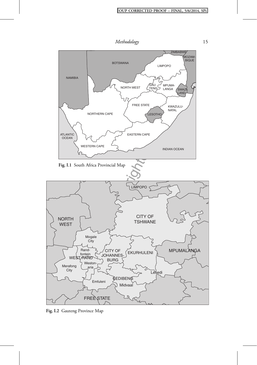

Fig. I.2 Gauteng Province Map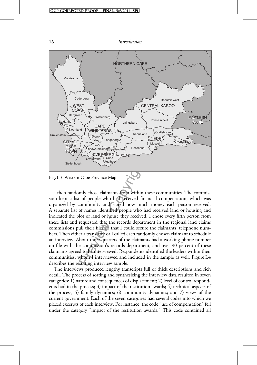



I then randomly chose claimants from within these communities. The commission kept a list of people who had received financial compensation, which was organized by community and stated how much money each person received. A separate list of names identified people who had received land or housing and indicated the plot of land or house they received. I chose every fifth person from these lists and requested that the records department in the regional land claims commissions pull their files so that I could secure the claimants' telephone numbers. Then either a translator or I called each randomly chosen claimant to schedule an interview. About three-quarters of the claimants had a working phone number on file with the commission's records department; and over 90 percent of these claimants agreed to be interviewed. Respondents identified the leaders within their communities, whom I interviewed and included in the sample as well. Figure I.4 describes the resulting interview sample.

The interviews produced lengthy transcripts full of thick descriptions and rich detail. The process of sorting and synthesizing the interview data resulted in seven categories: 1) nature and consequences of displacement; 2) level of control respondents had in the process; 3) impact of the restitution awards; 4) technical aspects of the process; 5) family dynamics; 6) community dynamics; and 7) views of the current government. Each of the seven categories had several codes into which we placed excerpts of each interview. For instance, the code "use of compensation" fell under the category "impact of the restitution awards." This code contained all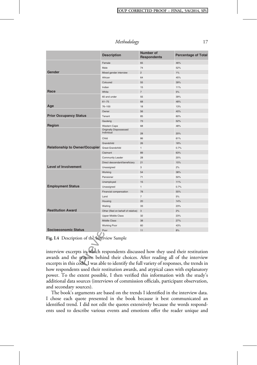Methodology 17

|                                                                                                                                                                                                                                                                    | <b>Description</b>                           | <b>Number of</b><br><b>Respondents</b> | <b>Percentage of Total</b> |
|--------------------------------------------------------------------------------------------------------------------------------------------------------------------------------------------------------------------------------------------------------------------|----------------------------------------------|----------------------------------------|----------------------------|
|                                                                                                                                                                                                                                                                    | Female                                       | 65                                     | 46%                        |
|                                                                                                                                                                                                                                                                    | Male                                         | 74                                     | 52%                        |
| Gender                                                                                                                                                                                                                                                             | Mixed gender interview                       | $\overline{c}$                         | 1%                         |
|                                                                                                                                                                                                                                                                    | African                                      | 64                                     | 45%                        |
|                                                                                                                                                                                                                                                                    | Coloured                                     | 55                                     | 39%                        |
|                                                                                                                                                                                                                                                                    | Indian                                       | 15                                     | 11%                        |
| Race                                                                                                                                                                                                                                                               | White                                        | $\overline{7}$                         | 5%                         |
|                                                                                                                                                                                                                                                                    | 60 and under                                 | 55                                     | 39%                        |
|                                                                                                                                                                                                                                                                    | $61 - 75$                                    | 68                                     | 48%                        |
| Age                                                                                                                                                                                                                                                                | $76 - 100$                                   | 18                                     | 13%                        |
|                                                                                                                                                                                                                                                                    | Owner                                        | 56                                     | 40%                        |
| <b>Prior Occupancy Status</b>                                                                                                                                                                                                                                      | Tenant                                       | 85                                     | 60%                        |
|                                                                                                                                                                                                                                                                    | Gauteng                                      | 73                                     | 52%                        |
| Region                                                                                                                                                                                                                                                             | Western Cape                                 | 68                                     | 48%                        |
|                                                                                                                                                                                                                                                                    | <b>Originally Dispossessed</b><br>Individual | 28                                     | 20%                        |
|                                                                                                                                                                                                                                                                    | Child                                        | 86                                     | 61%                        |
|                                                                                                                                                                                                                                                                    | Grandchild                                   | 26                                     | 18%                        |
| <b>Relationship to Owner/Occupier</b>                                                                                                                                                                                                                              | Great-Grandchild                             | $\mathbf{1}$                           | 0.7%                       |
|                                                                                                                                                                                                                                                                    | Claimant                                     | 89                                     | 63%                        |
|                                                                                                                                                                                                                                                                    | Community Leader                             | 28                                     | 20%                        |
|                                                                                                                                                                                                                                                                    | Direct descendant/beneficiary                | 21                                     | 15%                        |
| <b>Level of Involvement</b>                                                                                                                                                                                                                                        | Unassigned                                   | 3                                      | 2%                         |
|                                                                                                                                                                                                                                                                    | Working                                      | 54                                     | 38%                        |
|                                                                                                                                                                                                                                                                    | Pensioner                                    | 71                                     | 50%                        |
|                                                                                                                                                                                                                                                                    | Unemployed                                   | 15                                     | 11%                        |
| <b>Employment Status</b>                                                                                                                                                                                                                                           | Unassigned                                   | 1                                      | 0.7%                       |
|                                                                                                                                                                                                                                                                    | Financial compensation                       | 78                                     | 55%                        |
|                                                                                                                                                                                                                                                                    | Land                                         | $\overline{7}$                         | 5%                         |
|                                                                                                                                                                                                                                                                    | Housing                                      | 20                                     | 14%                        |
|                                                                                                                                                                                                                                                                    | Waiting                                      | 33                                     | 23%                        |
| <b>Restitution Award</b>                                                                                                                                                                                                                                           | Other (filed on behalf of relative)          | 3                                      | 2%                         |
|                                                                                                                                                                                                                                                                    | <b>Upper Middle Class</b>                    | 32                                     | 23%                        |
|                                                                                                                                                                                                                                                                    | <b>Middle Class</b>                          | 38                                     | 27%                        |
|                                                                                                                                                                                                                                                                    | <b>Working Poor</b>                          | 60                                     | 43%                        |
| <b>Socioeconomic Status</b>                                                                                                                                                                                                                                        | Poor                                         | 11                                     | 8%                         |
| Fig. I.4 Description of the Interview Sample                                                                                                                                                                                                                       |                                              |                                        |                            |
| interview excerpts in which respondents discussed how they used their restitution<br>awards and the reasons behind their choices. After reading all of the interview<br>excerpts in this code, I was able to identify the full variety of responses, the trends in |                                              |                                        |                            |

Fig. I.4 Description of the Interview Sample

interview excerpts in which respondents discussed how they used their restitution awards and the reasons behind their choices. After reading all of the interview excerpts in this code, I was able to identify the full variety of responses, the trends in how respondents used their restitution awards, and atypical cases with explanatory power. To the extent possible, I then verified this information with the study's additional data sources (interviews of commission officials, participant observation, and secondary sources).

The book's arguments are based on the trends I identified in the interview data. I chose each quote presented in the book because it best communicated an identified trend. I did not edit the quotes extensively because the words respondents used to describe various events and emotions offer the reader unique and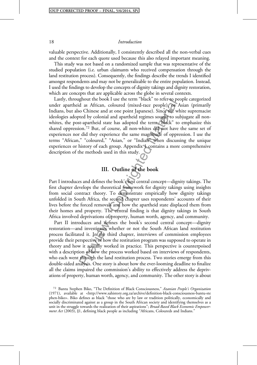valuable perspective. Additionally, I consistently described all the non-verbal cues and the context for each quote used because this also relayed important meaning.

This study was not based on a randomized sample that was representative of the studied population (i.e. urban claimants who received compensation through the land restitution process). Consequently, the findings describe the trends I identified amongst respondents and may not be generalizable to the entire population. Instead, I used the findings to develop the concepts of dignity takings and dignity restoration, which are concepts that are applicable across the globe in several contexts.

gnout the book I use the term black to refer to perfect and a suffricant, coloured (mixed-race people), or  $F$  for the soc Chinese and at one point Japanese). Since the velocid by colonial and apartheid regimes sought to s Lastly, throughout the book I use the term "black" to refer to people categorized under apartheid as African, coloured (mixed-race people), or Asian (primarily Indians, but also Chinese and at one point Japanese). Since the white supremacist ideologies adopted by colonial and apartheid regimes sought to subjugate all nonwhites, the post-apartheid state has adopted the term "black" to emphasize this shared oppression.<sup>72</sup> But, of course, all non-whites did not have the same set of experiences nor did they experience the same magnitude of oppression. I use the terms "African," "coloured," "Asian," or "Indian" when discussing the unique experiences or history of each group. Appendix 1 contains a more comprehensive description of the methods used in this study.

### III. Outline of the book

Part I introduces and defines the book's first central concept—dignity takings. The first chapter develops the theoretical framework for dignity takings using insights from social contract theory. To demonstrate empirically how dignity takings unfolded in South Africa, the second chapter uses respondents' accounts of their lives before the forced removals and how the apartheid state displaced them from their homes and property. The central finding is that dignity takings in South Africa involved deprivations of property, human worth, agency, and community.

Part II introduces and defines the book's second central concept—dignity restoration—and investigates whether or not the South African land restitution process facilitated it. In the third chapter, interviews of commission employees provide their perspective of how the restitution program was supposed to operate in theory and how it actually worked in practice. This perspective is counterpoised with a description of how the process worked based on interviews of respondents, who each went through the land restitution process. Two stories emerge from this double-sided analysis. One story is about how the ever-looming deadline to finalize all the claims impaired the commission's ability to effectively address the deprivations of property, human worth, agency, and community. The other story is about

<sup>72</sup> Bantu Stephen Biko, "The Definition of Black Consciousness," Azanian People's Organization (1971), available at <http://www.sahistory.org.za/archive/definition-black-consciousness-bantu-ste phen-biko>. Biko defines as black "those who are by law or tradition politically, economically and socially discriminated against as a group in the South African society and identifying themselves as a unit in the struggle towards the realization of their aspirations"; Broad-Based Black Economic Empowerment Act (2003), §1, defining black people as including "Africans, Coloureds and Indians."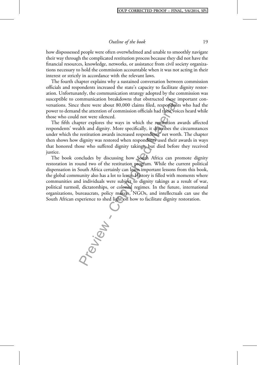how dispossessed people were often overwhelmed and unable to smoothly navigate their way through the complicated restitution process because they did not have the financial resources, knowledge, networks, or assistance from civil society organizations necessary to hold the commission accountable when it was not acting in their interest or strictly in accordance with the relevant laws.

The fourth chapter explains why a sustained conversation between commission officials and respondents increased the state's capacity to facilitate dignity restoration. Unfortunately, the communication strategy adopted by the commission was susceptible to communication breakdowns that obstructed these important conversations. Since there were about 80,000 claims filed, respondents who had the power to demand the attention of commission officials had their voices heard while those who could not were silenced.

The fifth chapter explores the ways in which the restitution awards affected respondents' wealth and dignity. More specifically, it describes the circumstances under which the restitution awards increased respondents' net worth. The chapter then shows how dignity was restored when respondents used their awards in ways that honored those who suffered dignity takings, but died before they received justice.

The book concludes by discussing how South Africa can promote dignity restoration in round two of the restitution program. While the current political dispensation in South Africa certainly can learn important lessons from this book, the global community also has a lot to learn. History is filled with moments where communities and individuals were subject to dignity takings as a result of war, political turmoil, dictatorships, or colonial regimes. In the future, international organizations, bureaucrats, policy makers, NGOs, and intellectuals can use the South African experience to shed light on how to facilitate dignity restoration.

tev<sub>iew</sub> .